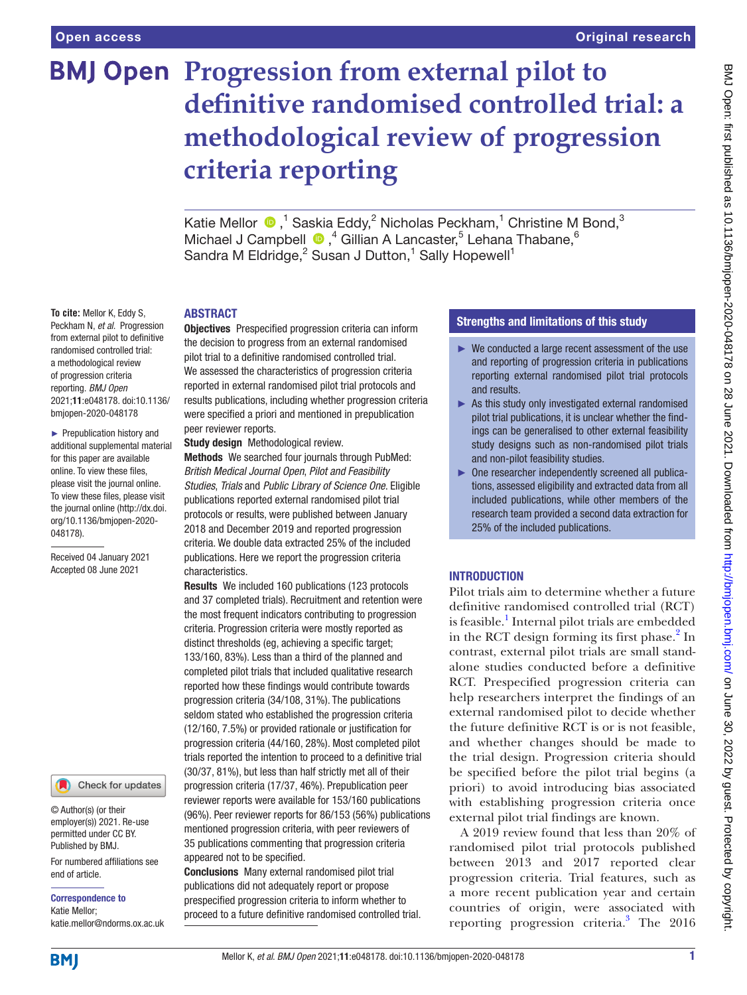**To cite:** Mellor K, Eddy S, Peckham N, *et al*. Progression from external pilot to definitive randomised controlled trial: a methodological review of progression criteria reporting. *BMJ Open* 2021;11:e048178. doi:10.1136/ bmjopen-2020-048178 ► Prepublication history and additional supplemental material for this paper are available online. To view these files, please visit the journal online. To view these files, please visit the journal online (http://dx.doi. org/10.1136/bmjopen-2020-

048178).

Received 04 January 2021 Accepted 08 June 2021

# **BMJ Open Progression from external pilot to definitive randomised controlled trial: a methodological review of progression criteria reporting**

KatieMellor  $\bigcirc$ , <sup>1</sup> Saskia Eddy, <sup>2</sup> Nicholas Peckham, <sup>1</sup> Christine M Bond, <sup>3</sup> MichaelJ Campbell <sup>1</sup>,<sup>4</sup> Gillian A Lancaster,<sup>5</sup> Lehana Thabane,<sup>6</sup> Sandra M Eldridge,<sup>2</sup> Susan J Dutton,<sup>1</sup> Sally Hopewell<sup>1</sup>

## ABSTRACT

Objectives Prespecified progression criteria can inform the decision to progress from an external randomised pilot trial to a definitive randomised controlled trial. We assessed the characteristics of progression criteria reported in external randomised pilot trial protocols and results publications, including whether progression criteria were specified a priori and mentioned in prepublication peer reviewer reports.

Study design Methodological review.

Methods We searched four journals through PubMed: *British Medical Journal Open*, *Pilot and Feasibility Studies*, *Trials* and *Public Library of Science One*. Eligible publications reported external randomised pilot trial protocols or results, were published between January 2018 and December 2019 and reported progression criteria. We double data extracted 25% of the included publications. Here we report the progression criteria characteristics.

Results We included 160 publications (123 protocols and 37 completed trials). Recruitment and retention were the most frequent indicators contributing to progression criteria. Progression criteria were mostly reported as distinct thresholds (eg, achieving a specific target; 133/160, 83%). Less than a third of the planned and completed pilot trials that included qualitative research reported how these findings would contribute towards progression criteria (34/108, 31%). The publications seldom stated who established the progression criteria (12/160, 7.5%) or provided rationale or justification for progression criteria (44/160, 28%). Most completed pilot trials reported the intention to proceed to a definitive trial (30/37, 81%), but less than half strictly met all of their progression criteria (17/37, 46%). Prepublication peer reviewer reports were available for 153/160 publications (96%). Peer reviewer reports for 86/153 (56%) publications mentioned progression criteria, with peer reviewers of 35 publications commenting that progression criteria appeared not to be specified.

Conclusions Many external randomised pilot trial publications did not adequately report or propose prespecified progression criteria to inform whether to proceed to a future definitive randomised controlled trial.

## Strengths and limitations of this study

- ► We conducted a large recent assessment of the use and reporting of progression criteria in publications reporting external randomised pilot trial protocols and results.
- ► As this study only investigated external randomised pilot trial publications, it is unclear whether the findings can be generalised to other external feasibility study designs such as non-randomised pilot trials and non-pilot feasibility studies.
- ► One researcher independently screened all publications, assessed eligibility and extracted data from all included publications, while other members of the research team provided a second data extraction for 25% of the included publications.

## INTRODUCTION

Pilot trials aim to determine whether a future definitive randomised controlled trial (RCT) is feasible.<sup>1</sup> Internal pilot trials are embedded in the RCT design forming its first phase.<sup>[2](#page-11-1)</sup> In contrast, external pilot trials are small standalone studies conducted before a definitive RCT. Prespecified progression criteria can help researchers interpret the findings of an external randomised pilot to decide whether the future definitive RCT is or is not feasible, and whether changes should be made to the trial design. Progression criteria should be specified before the pilot trial begins (a priori) to avoid introducing bias associated with establishing progression criteria once external pilot trial findings are known.

A 2019 review found that less than 20% of randomised pilot trial protocols published between 2013 and 2017 reported clear progression criteria. Trial features, such as a more recent publication year and certain countries of origin, were associated with reporting progression criteria.<sup>[3](#page-11-2)</sup> The 2016

**BMI** 

end of article.

Correspondence to Katie Mellor;

© Author(s) (or their employer(s)) 2021. Re-use permitted under CC BY. Published by BMJ.

For numbered affiliations see

Check for updates

katie.mellor@ndorms.ox.ac.uk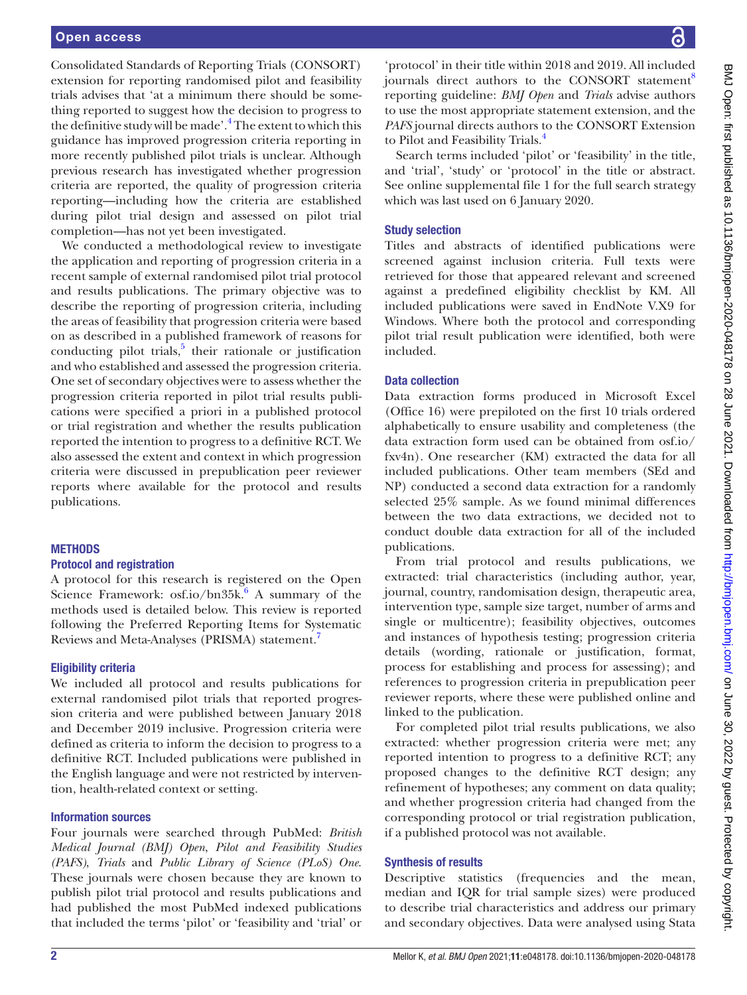Consolidated Standards of Reporting Trials (CONSORT) extension for reporting randomised pilot and feasibility trials advises that 'at a minimum there should be something reported to suggest how the decision to progress to the definitive study will be made'.<sup>[4](#page-11-3)</sup> The extent to which this guidance has improved progression criteria reporting in more recently published pilot trials is unclear. Although previous research has investigated whether progression criteria are reported, the quality of progression criteria reporting—including how the criteria are established during pilot trial design and assessed on pilot trial completion—has not yet been investigated.

We conducted a methodological review to investigate the application and reporting of progression criteria in a recent sample of external randomised pilot trial protocol and results publications. The primary objective was to describe the reporting of progression criteria, including the areas of feasibility that progression criteria were based on as described in a published framework of reasons for conducting pilot trials, $5$  their rationale or justification and who established and assessed the progression criteria. One set of secondary objectives were to assess whether the progression criteria reported in pilot trial results publications were specified a priori in a published protocol or trial registration and whether the results publication reported the intention to progress to a definitive RCT. We also assessed the extent and context in which progression criteria were discussed in prepublication peer reviewer reports where available for the protocol and results publications.

## **METHODS**

## Protocol and registration

A protocol for this research is registered on the Open Science Framework: osf.io/bn $35k$ <sup>[6](#page-11-5)</sup> A summary of the methods used is detailed below. This review is reported following the Preferred Reporting Items for Systematic Reviews and Meta-Analyses (PRISMA) statement[.7](#page-11-6)

## Eligibility criteria

We included all protocol and results publications for external randomised pilot trials that reported progression criteria and were published between January 2018 and December 2019 inclusive. Progression criteria were defined as criteria to inform the decision to progress to a definitive RCT. Included publications were published in the English language and were not restricted by intervention, health-related context or setting.

## Information sources

Four journals were searched through PubMed: *British Medical Journal (BMJ) Open*, *Pilot and Feasibility Studies (PAFS)*, *Trials* and *Public Library of Science (PLoS) One*. These journals were chosen because they are known to publish pilot trial protocol and results publications and had published the most PubMed indexed publications that included the terms 'pilot' or 'feasibility and 'trial' or

'protocol' in their title within 2018 and 2019. All included journals direct authors to the CONSORT statement<sup>[8](#page-11-7)</sup> reporting guideline: *BMJ Open* and *Trials* advise authors to use the most appropriate statement extension, and the *PAFS* journal directs authors to the CONSORT Extension to Pilot and Feasibility Trials.<sup>[4](#page-11-3)</sup>

Search terms included 'pilot' or 'feasibility' in the title, and 'trial', 'study' or 'protocol' in the title or abstract. See [online supplemental file 1](https://dx.doi.org/10.1136/bmjopen-2020-048178) for the full search strategy which was last used on 6 January 2020.

## Study selection

Titles and abstracts of identified publications were screened against inclusion criteria. Full texts were retrieved for those that appeared relevant and screened against a predefined eligibility checklist by KM. All included publications were saved in EndNote V.X9 for Windows. Where both the protocol and corresponding pilot trial result publication were identified, both were included.

## Data collection

Data extraction forms produced in Microsoft Excel (Office 16) were prepiloted on the first 10 trials ordered alphabetically to ensure usability and completeness (the data extraction form used can be obtained from osf.io/ fxv4n). One researcher (KM) extracted the data for all included publications. Other team members (SEd and NP) conducted a second data extraction for a randomly selected 25% sample. As we found minimal differences between the two data extractions, we decided not to conduct double data extraction for all of the included publications.

From trial protocol and results publications, we extracted: trial characteristics (including author, year, journal, country, randomisation design, therapeutic area, intervention type, sample size target, number of arms and single or multicentre); feasibility objectives, outcomes and instances of hypothesis testing; progression criteria details (wording, rationale or justification, format, process for establishing and process for assessing); and references to progression criteria in prepublication peer reviewer reports, where these were published online and linked to the publication.

For completed pilot trial results publications, we also extracted: whether progression criteria were met; any reported intention to progress to a definitive RCT; any proposed changes to the definitive RCT design; any refinement of hypotheses; any comment on data quality; and whether progression criteria had changed from the corresponding protocol or trial registration publication, if a published protocol was not available.

## Synthesis of results

Descriptive statistics (frequencies and the mean, median and IQR for trial sample sizes) were produced to describe trial characteristics and address our primary and secondary objectives. Data were analysed using Stata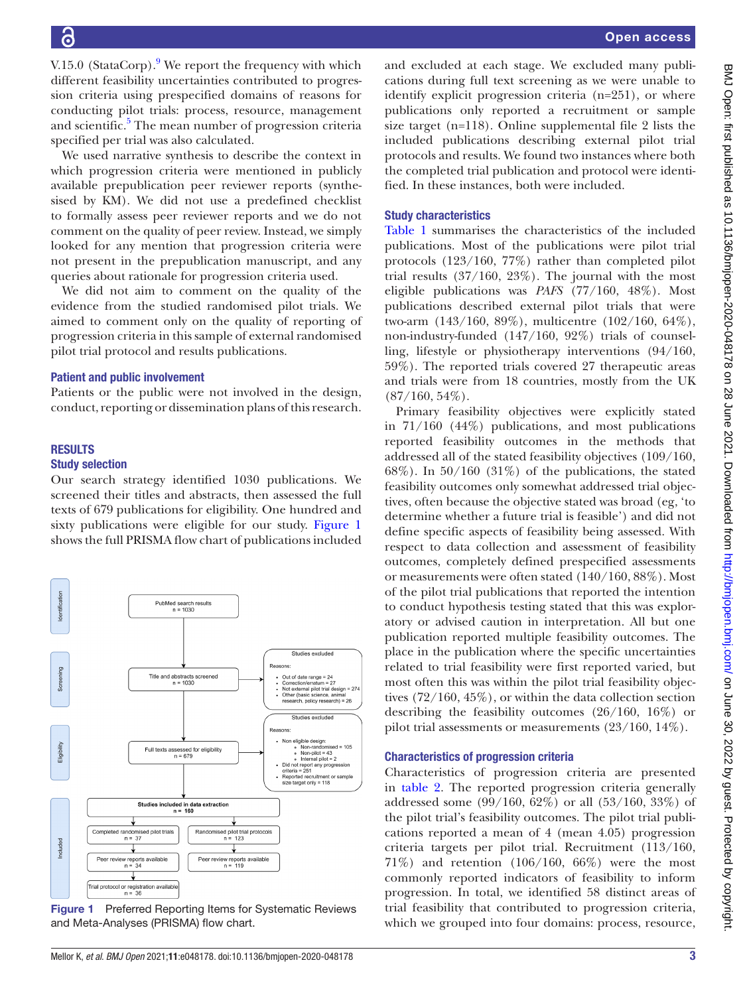V.15.0 (StataCorp).<sup>[9](#page-11-8)</sup> We report the frequency with which different feasibility uncertainties contributed to progression criteria using prespecified domains of reasons for conducting pilot trials: process, resource, management and scientific.<sup>[5](#page-11-4)</sup> The mean number of progression criteria specified per trial was also calculated.

We used narrative synthesis to describe the context in which progression criteria were mentioned in publicly available prepublication peer reviewer reports (synthesised by KM). We did not use a predefined checklist to formally assess peer reviewer reports and we do not comment on the quality of peer review. Instead, we simply looked for any mention that progression criteria were not present in the prepublication manuscript, and any queries about rationale for progression criteria used.

We did not aim to comment on the quality of the evidence from the studied randomised pilot trials. We aimed to comment only on the quality of reporting of progression criteria in this sample of external randomised pilot trial protocol and results publications.

#### Patient and public involvement

Patients or the public were not involved in the design, conduct, reporting or dissemination plans of this research.

# **RESULTS**

## Study selection

Our search strategy identified 1030 publications. We screened their titles and abstracts, then assessed the full texts of 679 publications for eligibility. One hundred and sixty publications were eligible for our study. [Figure](#page-2-0) 1 shows the full PRISMA flow chart of publications included



<span id="page-2-0"></span>Figure 1 Preferred Reporting Items for Systematic Reviews and Meta-Analyses (PRISMA) flow chart.

and excluded at each stage. We excluded many publications during full text screening as we were unable to identify explicit progression criteria (n=251), or where publications only reported a recruitment or sample size target (n=118). [Online supplemental file 2](https://dx.doi.org/10.1136/bmjopen-2020-048178) lists the included publications describing external pilot trial protocols and results. We found two instances where both the completed trial publication and protocol were identified. In these instances, both were included.

#### Study characteristics

[Table](#page-3-0) 1 summarises the characteristics of the included publications. Most of the publications were pilot trial protocols (123/160, 77%) rather than completed pilot trial results (37/160, 23%). The journal with the most eligible publications was *PAFS* (77/160, 48%). Most publications described external pilot trials that were two-arm (143/160, 89%), multicentre (102/160, 64%), non-industry-funded (147/160, 92%) trials of counselling, lifestyle or physiotherapy interventions (94/160, 59%). The reported trials covered 27 therapeutic areas and trials were from 18 countries, mostly from the UK  $(87/160, 54\%).$ 

Primary feasibility objectives were explicitly stated in 71/160 (44%) publications, and most publications reported feasibility outcomes in the methods that addressed all of the stated feasibility objectives (109/160,  $68\%$ ). In  $50/160$   $(31\%)$  of the publications, the stated feasibility outcomes only somewhat addressed trial objectives, often because the objective stated was broad (eg, 'to determine whether a future trial is feasible') and did not define specific aspects of feasibility being assessed. With respect to data collection and assessment of feasibility outcomes, completely defined prespecified assessments or measurements were often stated (140/160, 88%). Most of the pilot trial publications that reported the intention to conduct hypothesis testing stated that this was exploratory or advised caution in interpretation. All but one publication reported multiple feasibility outcomes. The place in the publication where the specific uncertainties related to trial feasibility were first reported varied, but most often this was within the pilot trial feasibility objectives (72/160, 45%), or within the data collection section describing the feasibility outcomes (26/160, 16%) or pilot trial assessments or measurements (23/160, 14%).

#### Characteristics of progression criteria

Characteristics of progression criteria are presented in [table](#page-6-0) 2. The reported progression criteria generally addressed some (99/160, 62%) or all (53/160, 33%) of the pilot trial's feasibility outcomes. The pilot trial publications reported a mean of 4 (mean 4.05) progression criteria targets per pilot trial. Recruitment (113/160, 71%) and retention (106/160, 66%) were the most commonly reported indicators of feasibility to inform progression. In total, we identified 58 distinct areas of trial feasibility that contributed to progression criteria, which we grouped into four domains: process, resource,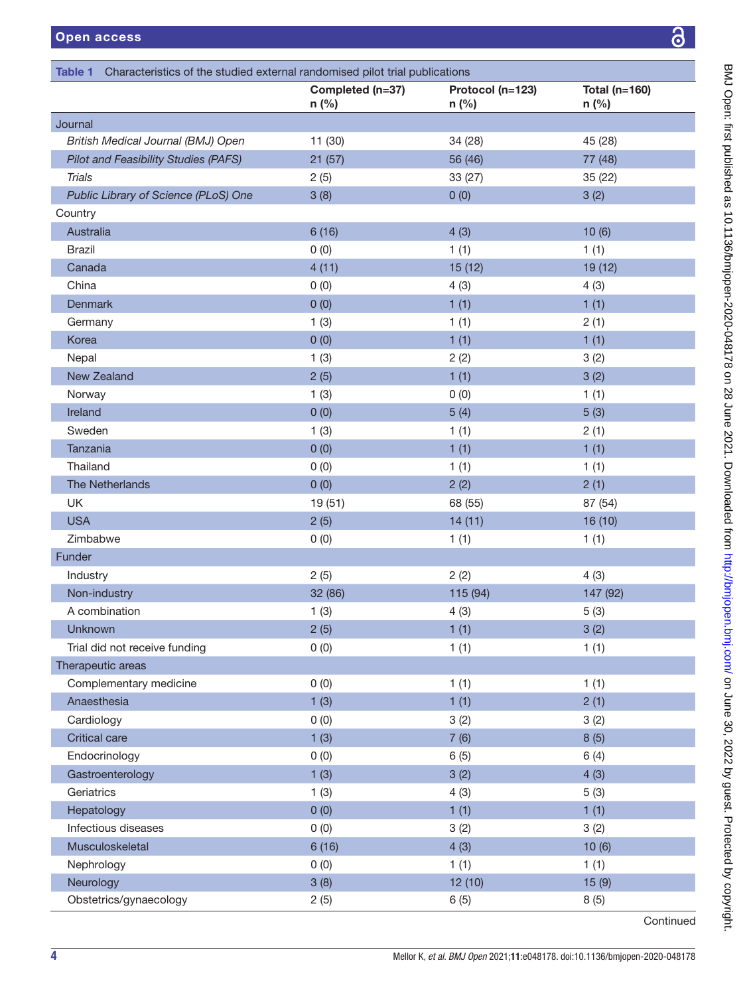| l (n=123) | <b>Total (n=160)</b> |           | BMJ Open: first published as 10.1136/bnijopen-2020-048178 on 28 June 2021. Downloaded from http://bmjopen.bmj.com/ on June 30, 2022 by guest. Protected by copyright. |
|-----------|----------------------|-----------|-----------------------------------------------------------------------------------------------------------------------------------------------------------------------|
|           | n (%)                |           |                                                                                                                                                                       |
|           |                      |           |                                                                                                                                                                       |
|           | 45 (28)              |           |                                                                                                                                                                       |
|           | 77 (48)              |           |                                                                                                                                                                       |
|           | 35 (22)              |           |                                                                                                                                                                       |
|           | 3(2)                 |           |                                                                                                                                                                       |
|           |                      |           |                                                                                                                                                                       |
|           | 10(6)                |           |                                                                                                                                                                       |
|           | 1(1)                 |           |                                                                                                                                                                       |
|           | 19 (12)              |           |                                                                                                                                                                       |
|           | 4(3)                 |           |                                                                                                                                                                       |
|           | 1(1)                 |           |                                                                                                                                                                       |
|           | 2(1)                 |           |                                                                                                                                                                       |
|           | 1(1)                 |           |                                                                                                                                                                       |
|           | 3(2)                 |           |                                                                                                                                                                       |
|           | 3(2)                 |           |                                                                                                                                                                       |
|           | (1)<br>1             |           |                                                                                                                                                                       |
|           | 5(3)                 |           |                                                                                                                                                                       |
|           | 2(1)                 |           |                                                                                                                                                                       |
|           | (1)<br>$\mathbf{1}$  |           |                                                                                                                                                                       |
|           | 1(1)                 |           |                                                                                                                                                                       |
|           | 2(1)                 |           |                                                                                                                                                                       |
|           | 87 (54)              |           |                                                                                                                                                                       |
|           | 16 (10)              |           |                                                                                                                                                                       |
|           | 1(1)                 |           |                                                                                                                                                                       |
|           |                      |           |                                                                                                                                                                       |
|           | 4(3)                 |           |                                                                                                                                                                       |
|           | 147 (92)             |           |                                                                                                                                                                       |
|           | 5(3)                 |           |                                                                                                                                                                       |
|           | 3(2)                 |           |                                                                                                                                                                       |
|           | 1(1)                 |           |                                                                                                                                                                       |
|           |                      |           |                                                                                                                                                                       |
|           | (1)<br>1             |           |                                                                                                                                                                       |
|           | 2(1)                 |           |                                                                                                                                                                       |
|           | 3(2)                 |           |                                                                                                                                                                       |
|           | 8(5)                 |           |                                                                                                                                                                       |
|           | 6(4)                 |           |                                                                                                                                                                       |
|           | 4(3)                 |           |                                                                                                                                                                       |
|           | 5(3)                 |           |                                                                                                                                                                       |
|           | 1(1)                 |           |                                                                                                                                                                       |
|           | 3(2)                 |           |                                                                                                                                                                       |
|           | 10(6)                |           |                                                                                                                                                                       |
|           | 1(1)                 |           |                                                                                                                                                                       |
|           | 15(9)                |           |                                                                                                                                                                       |
|           | 8(5)                 |           |                                                                                                                                                                       |
|           |                      | Continued |                                                                                                                                                                       |
|           |                      |           |                                                                                                                                                                       |

<span id="page-3-0"></span>

|                                             | Completed (n=37)<br>n (%) | Protocol (n=123)<br>n (%) | <b>Total (n=160)</b><br>n (%) |
|---------------------------------------------|---------------------------|---------------------------|-------------------------------|
| Journal                                     |                           |                           |                               |
| British Medical Journal (BMJ) Open          | 11 (30)                   | 34 (28)                   | 45 (28)                       |
| <b>Pilot and Feasibility Studies (PAFS)</b> | 21(57)                    | 56 (46)                   | 77 (48)                       |
| <b>Trials</b>                               | 2(5)                      | 33 (27)                   | 35(22)                        |
| Public Library of Science (PLoS) One        | 3(8)                      | 0(0)                      | 3(2)                          |
| Country                                     |                           |                           |                               |
| Australia                                   | 6(16)                     | 4(3)                      | 10(6)                         |
| <b>Brazil</b>                               | 0(0)                      | 1(1)                      | 1(1)                          |
| Canada                                      | 4(11)                     | 15(12)                    | 19 (12)                       |
| China                                       | 0(0)                      | 4(3)                      | 4(3)                          |
| <b>Denmark</b>                              | 0(0)                      | 1(1)                      | 1(1)                          |
| Germany                                     | 1(3)                      | 1(1)                      | 2(1)                          |
| Korea                                       | 0(0)                      | 1(1)                      | 1(1)                          |
| Nepal                                       | 1(3)                      | 2(2)                      | 3(2)                          |
| <b>New Zealand</b>                          | 2(5)                      | 1(1)                      | 3(2)                          |
| Norway                                      | 1(3)                      | 0(0)                      | 1(1)                          |
| Ireland                                     | 0(0)                      | 5(4)                      | 5(3)                          |
| Sweden                                      | 1(3)                      | 1(1)                      | 2(1)                          |
| <b>Tanzania</b>                             | 0(0)                      | 1(1)                      | 1(1)                          |
| Thailand                                    | 0(0)                      | 1(1)                      | 1(1)                          |
| The Netherlands                             | 0(0)                      | 2(2)                      | 2(1)                          |
| UK                                          | 19 (51)                   | 68 (55)                   | 87 (54)                       |
| <b>USA</b>                                  | 2(5)                      | 14(11)                    | 16(10)                        |
| Zimbabwe                                    | 0(0)                      | 1(1)                      | 1(1)                          |
| Funder                                      |                           |                           |                               |
| Industry                                    | 2(5)                      | 2(2)                      | 4(3)                          |
| Non-industry                                | 32 (86)                   | 115 (94)                  | 147 (92)                      |
| A combination                               | 1(3)                      | 4(3)                      | 5(3)                          |
| <b>Unknown</b>                              | 2(5)                      | 1(1)                      | 3(2)                          |
| Trial did not receive funding               | 0(0)                      | 1(1)                      | 1(1)                          |
| Therapeutic areas                           |                           |                           |                               |
| Complementary medicine                      | 0(0)                      | 1(1)                      | 1(1)                          |
| Anaesthesia                                 | 1(3)                      | 1(1)                      | 2(1)                          |
| Cardiology                                  | 0(0)                      | 3(2)                      | 3(2)                          |
| <b>Critical care</b>                        | 1(3)                      | 7(6)                      | 8(5)                          |
| Endocrinology                               | 0(0)                      | 6(5)                      | 6(4)                          |
| Gastroenterology                            | 1(3)                      | 3(2)                      | 4(3)                          |
| Geriatrics                                  | 1(3)                      | 4(3)                      | 5(3)                          |
| Hepatology                                  | 0(0)                      | 1(1)                      | 1(1)                          |
| Infectious diseases                         | 0(0)                      | 3(2)                      | 3(2)                          |
| Musculoskeletal                             | 6(16)                     | 4(3)                      | 10(6)                         |
| Nephrology                                  | 0(0)                      | 1(1)                      | 1(1)                          |
| Neurology                                   | 3(8)                      | 12(10)                    | 15(9)                         |
| Obstetrics/gynaecology                      | 2(5)                      | 6(5)                      | 8(5)                          |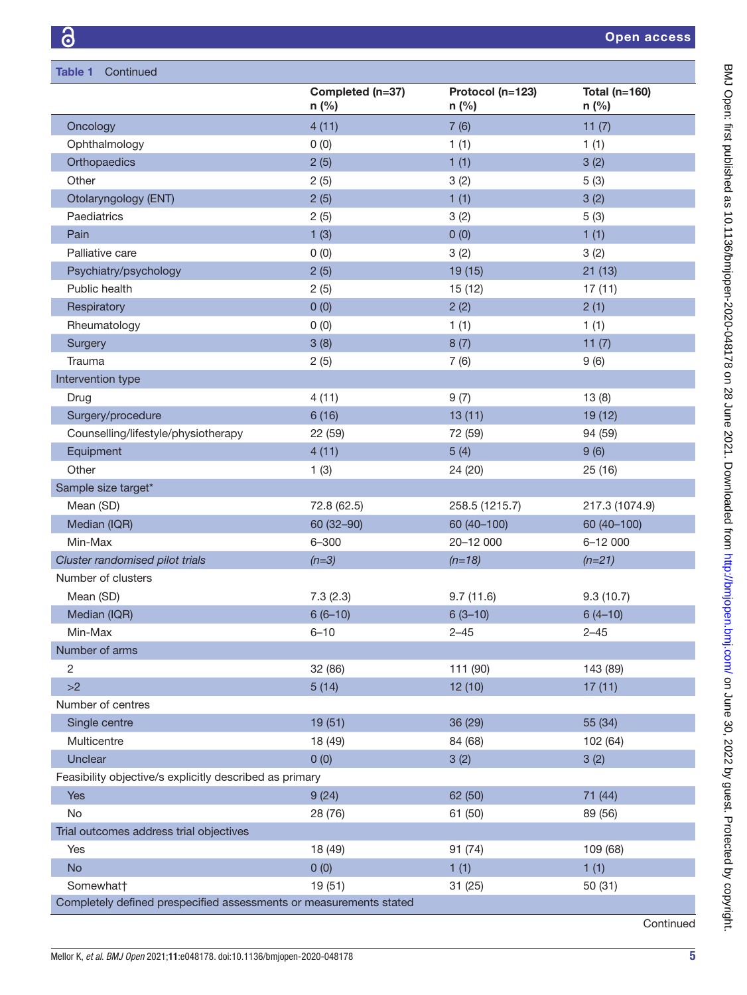| <b>Table 1</b><br>Continued                                        |                           |                             |                            |  |
|--------------------------------------------------------------------|---------------------------|-----------------------------|----------------------------|--|
|                                                                    | Completed (n=37)<br>n (%) | Protocol (n=123)<br>$n$ (%) | Total ( $n=160$ )<br>n (%) |  |
| Oncology                                                           | 4(11)                     | 7(6)                        | 11(7)                      |  |
| Ophthalmology                                                      | 0(0)                      | 1(1)                        | 1(1)                       |  |
| Orthopaedics                                                       | 2(5)                      | 1(1)                        | 3(2)                       |  |
| Other                                                              | 2(5)                      | 3(2)                        | 5(3)                       |  |
| Otolaryngology (ENT)                                               | 2(5)                      | 1(1)                        | 3(2)                       |  |
| Paediatrics                                                        | 2(5)                      | 3(2)                        | 5(3)                       |  |
| Pain                                                               | 1(3)                      | 0(0)                        | 1(1)                       |  |
| Palliative care                                                    | 0(0)                      | 3(2)                        | 3(2)                       |  |
| Psychiatry/psychology                                              | 2(5)                      | 19 (15)                     | 21(13)                     |  |
| Public health                                                      | 2(5)                      | 15 (12)                     | 17(11)                     |  |
| Respiratory                                                        | 0(0)                      | 2(2)                        | 2(1)                       |  |
| Rheumatology                                                       | 0(0)                      | 1(1)                        | 1(1)                       |  |
| Surgery                                                            | 3(8)                      | 8(7)                        | 11(7)                      |  |
| Trauma                                                             | 2(5)                      | 7(6)                        | 9(6)                       |  |
| Intervention type                                                  |                           |                             |                            |  |
| Drug                                                               | 4(11)                     | 9(7)                        | 13(8)                      |  |
| Surgery/procedure                                                  | 6(16)                     | 13(11)                      | 19 (12)                    |  |
| Counselling/lifestyle/physiotherapy                                | 22 (59)                   | 72 (59)                     | 94 (59)                    |  |
| Equipment                                                          | 4(11)                     | 5(4)                        | 9(6)                       |  |
| Other                                                              | 1(3)                      | 24 (20)                     | 25 (16)                    |  |
| Sample size target*                                                |                           |                             |                            |  |
| Mean (SD)                                                          | 72.8 (62.5)               | 258.5 (1215.7)              | 217.3 (1074.9)             |  |
| Median (IQR)                                                       | 60 (32-90)                | 60 (40-100)                 | 60 (40-100)                |  |
| Min-Max                                                            | $6 - 300$                 | 20-12 000                   | 6-12 000                   |  |
| Cluster randomised pilot trials                                    | $(n=3)$                   | $(n=18)$                    | $(n=21)$                   |  |
| Number of clusters                                                 |                           |                             |                            |  |
| Mean (SD)                                                          | 7.3(2.3)                  | 9.7(11.6)                   | 9.3(10.7)                  |  |
| Median (IQR)                                                       | $6(6-10)$                 | $6(3-10)$                   | $6(4-10)$                  |  |
| Min-Max                                                            | $6 - 10$                  | $2 - 45$                    | $2 - 45$                   |  |
| Number of arms                                                     |                           |                             |                            |  |
| $\overline{2}$                                                     | 32 (86)                   | 111 (90)                    | 143 (89)                   |  |
| >2                                                                 | 5(14)                     | 12(10)                      | 17(11)                     |  |
| Number of centres                                                  |                           |                             |                            |  |
| Single centre                                                      | 19(51)                    | 36 (29)                     | 55 (34)                    |  |
| Multicentre                                                        | 18 (49)                   | 84 (68)                     | 102 (64)                   |  |
| Unclear                                                            | 0(0)                      | 3(2)                        | 3(2)                       |  |
| Feasibility objective/s explicitly described as primary            |                           |                             |                            |  |
| Yes                                                                | 9(24)                     | 62 (50)                     | 71 (44)                    |  |
| No                                                                 | 28 (76)                   | 61 (50)                     | 89 (56)                    |  |
| Trial outcomes address trial objectives                            |                           |                             |                            |  |
| Yes                                                                | 18 (49)                   | 91 (74)                     | 109 (68)                   |  |
| <b>No</b>                                                          | 0(0)                      | 1(1)                        | 1(1)                       |  |
| Somewhat†                                                          | 19 (51)                   | 31 (25)                     | 50(31)                     |  |
| Completely defined prespecified assessments or measurements stated |                           |                             |                            |  |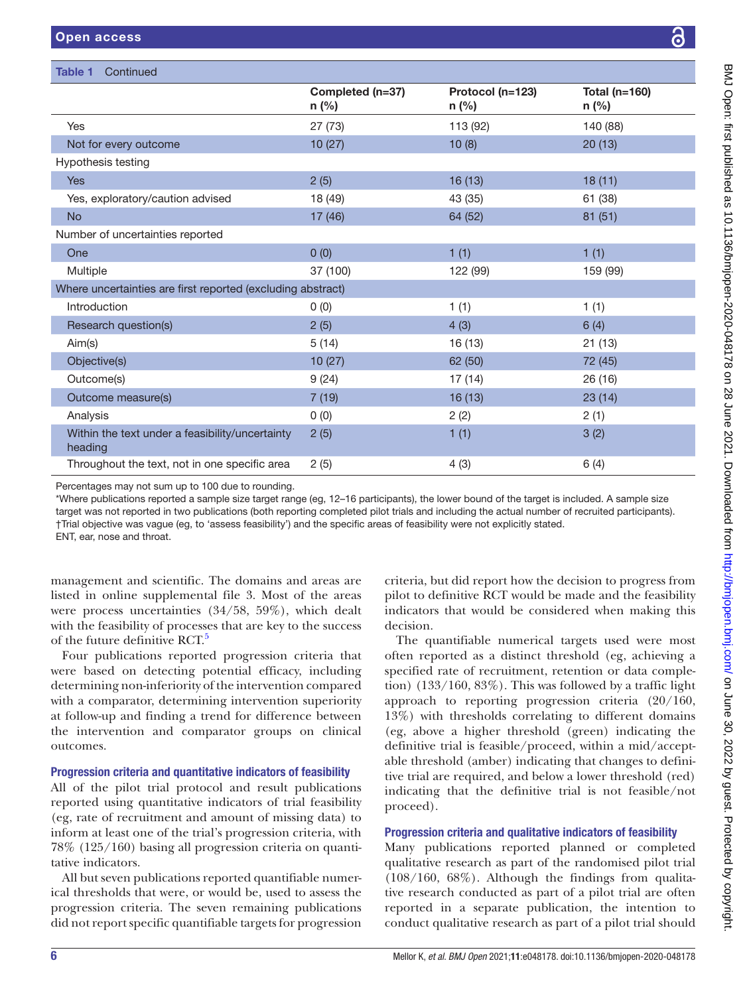Table 1 Continued

|                                                             | Completed (n=37)<br>$n$ (%) | Protocol (n=123)<br>n (%) | Total $(n=160)$<br>$n$ (%) |
|-------------------------------------------------------------|-----------------------------|---------------------------|----------------------------|
| Yes                                                         | 27(73)                      | 113 (92)                  | 140 (88)                   |
| Not for every outcome                                       | 10(27)                      | 10(8)                     | 20(13)                     |
| Hypothesis testing                                          |                             |                           |                            |
| <b>Yes</b>                                                  | 2(5)                        | 16(13)                    | 18(11)                     |
| Yes, exploratory/caution advised                            | 18 (49)                     | 43 (35)                   | 61 (38)                    |
| <b>No</b>                                                   | 17 (46)                     | 64 (52)                   | 81(51)                     |
| Number of uncertainties reported                            |                             |                           |                            |
| One                                                         | 0(0)                        | 1(1)                      | 1(1)                       |
| Multiple                                                    | 37 (100)                    | 122 (99)                  | 159 (99)                   |
| Where uncertainties are first reported (excluding abstract) |                             |                           |                            |
| Introduction                                                | 0(0)                        | 1(1)                      | 1(1)                       |
| Research question(s)                                        | 2(5)                        | 4(3)                      | 6(4)                       |
| Aim(s)                                                      | 5(14)                       | 16 (13)                   | 21(13)                     |
| Objective(s)                                                | 10(27)                      | 62 (50)                   | 72 (45)                    |
| Outcome(s)                                                  | 9(24)                       | 17(14)                    | 26(16)                     |
| Outcome measure(s)                                          | 7(19)                       | 16(13)                    | 23(14)                     |
| Analysis                                                    | 0(0)                        | 2(2)                      | 2(1)                       |
| Within the text under a feasibility/uncertainty<br>heading  | 2(5)                        | 1(1)                      | 3(2)                       |
| Throughout the text, not in one specific area               | 2(5)                        | 4(3)                      | 6(4)                       |

\*Where publications reported a sample size target range (eg, 12–16 participants), the lower bound of the target is included. A sample size target was not reported in two publications (both reporting completed pilot trials and including the actual number of recruited participants). †Trial objective was vague (eg, to 'assess feasibility') and the specific areas of feasibility were not explicitly stated. ENT, ear, nose and throat.

management and scientific. The domains and areas are listed in [online supplemental file 3](https://dx.doi.org/10.1136/bmjopen-2020-048178). Most of the areas were process uncertainties (34/58, 59%), which dealt with the feasibility of processes that are key to the success of the future definitive RCT.<sup>[5](#page-11-4)</sup>

Four publications reported progression criteria that were based on detecting potential efficacy, including determining non-inferiority of the intervention compared with a comparator, determining intervention superiority at follow-up and finding a trend for difference between the intervention and comparator groups on clinical outcomes.

# Progression criteria and quantitative indicators of feasibility

All of the pilot trial protocol and result publications reported using quantitative indicators of trial feasibility (eg, rate of recruitment and amount of missing data) to inform at least one of the trial's progression criteria, with 78% (125/160) basing all progression criteria on quantitative indicators.

All but seven publications reported quantifiable numerical thresholds that were, or would be, used to assess the progression criteria. The seven remaining publications did not report specific quantifiable targets for progression

criteria, but did report how the decision to progress from pilot to definitive RCT would be made and the feasibility indicators that would be considered when making this decision.

The quantifiable numerical targets used were most often reported as a distinct threshold (eg, achieving a specified rate of recruitment, retention or data completion) (133/160, 83%). This was followed by a traffic light approach to reporting progression criteria (20/160, 13%) with thresholds correlating to different domains (eg, above a higher threshold (green) indicating the definitive trial is feasible/proceed, within a mid/acceptable threshold (amber) indicating that changes to definitive trial are required, and below a lower threshold (red) indicating that the definitive trial is not feasible/not proceed).

# Progression criteria and qualitative indicators of feasibility

Many publications reported planned or completed qualitative research as part of the randomised pilot trial  $(108/160, 68\%)$ . Although the findings from qualitative research conducted as part of a pilot trial are often reported in a separate publication, the intention to conduct qualitative research as part of a pilot trial should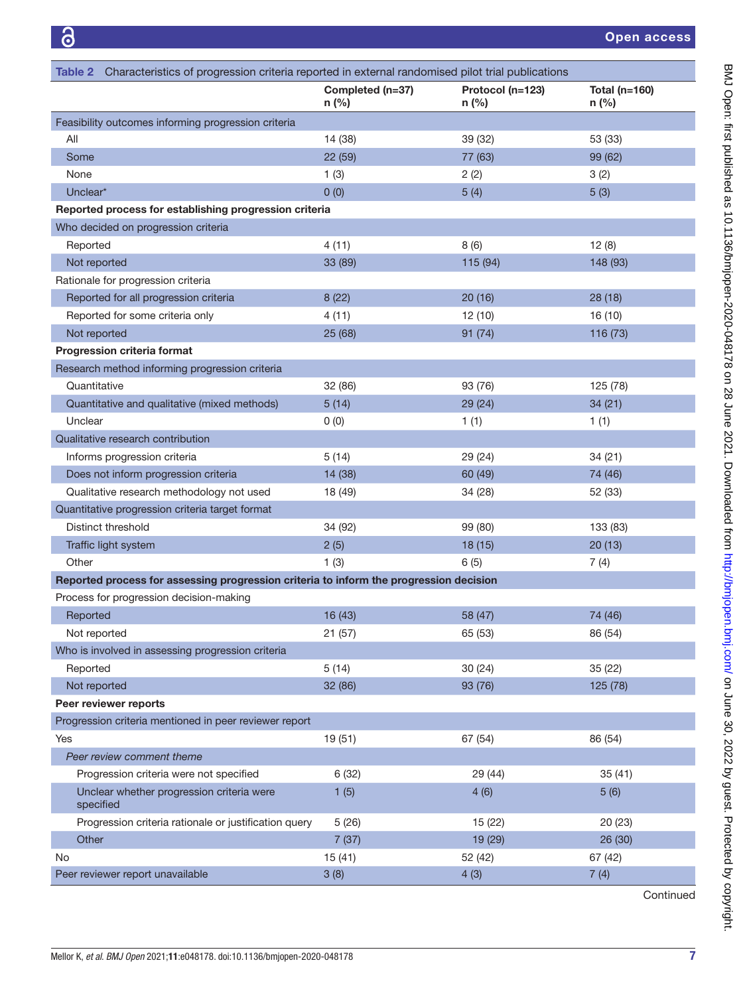<span id="page-6-0"></span>

| Characteristics of progression criteria reported in external randomised pilot trial publications<br>Table 2 |                             |                             |                                 |  |
|-------------------------------------------------------------------------------------------------------------|-----------------------------|-----------------------------|---------------------------------|--|
|                                                                                                             | Completed (n=37)<br>$n$ (%) | Protocol (n=123)<br>$n$ (%) | <b>Total (n=160)</b><br>$n$ (%) |  |
| Feasibility outcomes informing progression criteria                                                         |                             |                             |                                 |  |
| All                                                                                                         | 14 (38)                     | 39 (32)                     | 53 (33)                         |  |
| Some                                                                                                        | 22 (59)                     | 77 (63)                     | 99 (62)                         |  |
| None                                                                                                        | 1(3)                        | 2(2)                        | 3(2)                            |  |
| Unclear*                                                                                                    | 0(0)                        | 5(4)                        | 5(3)                            |  |
| Reported process for establishing progression criteria                                                      |                             |                             |                                 |  |
| Who decided on progression criteria                                                                         |                             |                             |                                 |  |
| Reported                                                                                                    | 4(11)                       | 8(6)                        | 12(8)                           |  |
| Not reported                                                                                                | 33 (89)                     | 115 (94)                    | 148 (93)                        |  |
| Rationale for progression criteria                                                                          |                             |                             |                                 |  |
| Reported for all progression criteria                                                                       | 8(22)                       | 20(16)                      | 28(18)                          |  |
| Reported for some criteria only                                                                             | 4(11)                       | 12 (10)                     | 16 (10)                         |  |
| Not reported                                                                                                | 25 (68)                     | 91(74)                      | 116 (73)                        |  |
| Progression criteria format                                                                                 |                             |                             |                                 |  |
| Research method informing progression criteria                                                              |                             |                             |                                 |  |
| Quantitative                                                                                                | 32 (86)                     | 93 (76)                     | 125 (78)                        |  |
| Quantitative and qualitative (mixed methods)                                                                | 5(14)                       | 29 (24)                     | 34(21)                          |  |
| Unclear                                                                                                     | 0(0)                        | 1(1)                        | 1(1)                            |  |
| Qualitative research contribution                                                                           |                             |                             |                                 |  |
| Informs progression criteria                                                                                | 5(14)                       | 29 (24)                     | 34 (21)                         |  |
| Does not inform progression criteria                                                                        | 14 (38)                     | 60 (49)                     | 74 (46)                         |  |
| Qualitative research methodology not used                                                                   | 18 (49)                     | 34 (28)                     | 52 (33)                         |  |
| Quantitative progression criteria target format                                                             |                             |                             |                                 |  |
| Distinct threshold                                                                                          | 34 (92)                     | 99 (80)                     | 133 (83)                        |  |
| Traffic light system                                                                                        | 2(5)                        | 18 (15)                     | 20(13)                          |  |
| Other                                                                                                       | 1(3)                        | 6(5)                        | 7(4)                            |  |
| Reported process for assessing progression criteria to inform the progression decision                      |                             |                             |                                 |  |
| Process for progression decision-making                                                                     |                             |                             |                                 |  |
| Reported                                                                                                    | 16 (43)                     | 58 (47)                     | 74 (46)                         |  |
| Not reported                                                                                                | 21(57)                      | 65 (53)                     | 86 (54)                         |  |
| Who is involved in assessing progression criteria                                                           |                             |                             |                                 |  |
| Reported                                                                                                    | 5(14)                       | 30(24)                      | 35(22)                          |  |
| Not reported                                                                                                | 32 (86)                     | 93 (76)                     | 125 (78)                        |  |
| Peer reviewer reports                                                                                       |                             |                             |                                 |  |
| Progression criteria mentioned in peer reviewer report                                                      |                             |                             |                                 |  |
| Yes                                                                                                         | 19 (51)                     | 67 (54)                     | 86 (54)                         |  |
| Peer review comment theme                                                                                   |                             |                             |                                 |  |
| Progression criteria were not specified                                                                     | 6(32)                       | 29 (44)                     | 35(41)                          |  |
| Unclear whether progression criteria were<br>specified                                                      | 1(5)                        | 4(6)                        | 5(6)                            |  |
| Progression criteria rationale or justification query                                                       | 5(26)                       | 15 (22)                     | 20 (23)                         |  |
| Other                                                                                                       | 7(37)                       | 19 (29)                     | 26 (30)                         |  |
| No                                                                                                          | 15(41)                      | 52 (42)                     | 67 (42)                         |  |
| Peer reviewer report unavailable                                                                            | 3(8)                        | 4(3)                        | 7(4)                            |  |

Mellor K, *et al*. *BMJ Open* 2021;11:e048178. doi:10.1136/bmjopen-2020-048178 7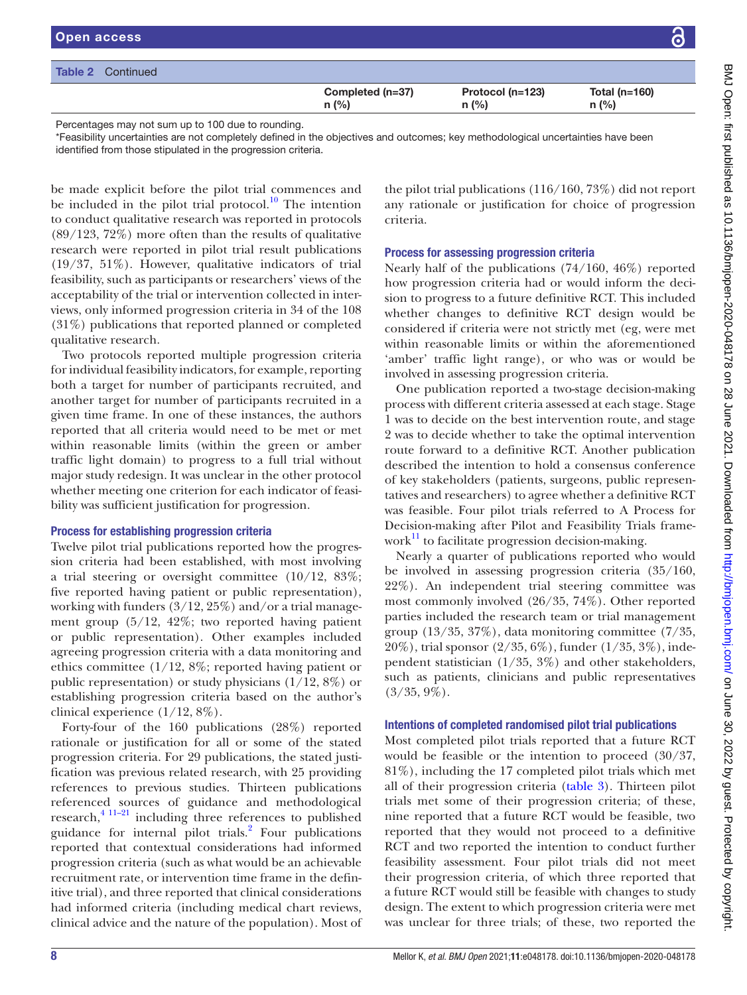| <b>Open access</b>       |                             |                             |                           | 6 |
|--------------------------|-----------------------------|-----------------------------|---------------------------|---|
| <b>Table 2</b> Continued |                             |                             |                           |   |
|                          | Completed (n=37)<br>$n$ (%) | Protocol (n=123)<br>$n$ (%) | Total ( $n=160$ )<br>n(%) |   |
|                          |                             |                             |                           |   |

Percentages may not sum up to 100 due to rounding.

\*Feasibility uncertainties are not completely defined in the objectives and outcomes; key methodological uncertainties have been identified from those stipulated in the progression criteria.

be made explicit before the pilot trial commences and be included in the pilot trial protocol.<sup>10</sup> The intention to conduct qualitative research was reported in protocols (89/123, 72%) more often than the results of qualitative research were reported in pilot trial result publications (19/37, 51%). However, qualitative indicators of trial feasibility, such as participants or researchers' views of the acceptability of the trial or intervention collected in interviews, only informed progression criteria in 34 of the 108 (31%) publications that reported planned or completed qualitative research.

Two protocols reported multiple progression criteria for individual feasibility indicators, for example, reporting both a target for number of participants recruited, and another target for number of participants recruited in a given time frame. In one of these instances, the authors reported that all criteria would need to be met or met within reasonable limits (within the green or amber traffic light domain) to progress to a full trial without major study redesign. It was unclear in the other protocol whether meeting one criterion for each indicator of feasibility was sufficient justification for progression.

## Process for establishing progression criteria

Twelve pilot trial publications reported how the progression criteria had been established, with most involving a trial steering or oversight committee  $(10/12, 83\%;$ five reported having patient or public representation), working with funders (3/12, 25%) and/or a trial management group (5/12, 42%; two reported having patient or public representation). Other examples included agreeing progression criteria with a data monitoring and ethics committee (1/12, 8%; reported having patient or public representation) or study physicians  $(1/12, 8\%)$  or establishing progression criteria based on the author's clinical experience  $(1/12, 8\%)$ .

Forty-four of the 160 publications (28%) reported rationale or justification for all or some of the stated progression criteria. For 29 publications, the stated justification was previous related research, with 25 providing references to previous studies. Thirteen publications referenced sources of guidance and methodological  $r$ esearch, $4$ <sup>11–21</sup> including three references to published guidance for internal pilot trials.<sup>[2](#page-11-1)</sup> Four publications reported that contextual considerations had informed progression criteria (such as what would be an achievable recruitment rate, or intervention time frame in the definitive trial), and three reported that clinical considerations had informed criteria (including medical chart reviews, clinical advice and the nature of the population). Most of the pilot trial publications (116/160, 73%) did not report any rationale or justification for choice of progression criteria.

## Process for assessing progression criteria

Nearly half of the publications (74/160, 46%) reported how progression criteria had or would inform the decision to progress to a future definitive RCT. This included whether changes to definitive RCT design would be considered if criteria were not strictly met (eg, were met within reasonable limits or within the aforementioned 'amber' traffic light range), or who was or would be involved in assessing progression criteria.

One publication reported a two-stage decision-making process with different criteria assessed at each stage. Stage 1 was to decide on the best intervention route, and stage 2 was to decide whether to take the optimal intervention route forward to a definitive RCT. Another publication described the intention to hold a consensus conference of key stakeholders (patients, surgeons, public representatives and researchers) to agree whether a definitive RCT was feasible. Four pilot trials referred to A Process for Decision-making after Pilot and Feasibility Trials framework $\mathbf{I}^{\mathrm{H}}$  to facilitate progression decision-making.

Nearly a quarter of publications reported who would be involved in assessing progression criteria (35/160, 22%). An independent trial steering committee was most commonly involved (26/35, 74%). Other reported parties included the research team or trial management group  $(13/35, 37\%)$ , data monitoring committee  $(7/35, 7\%)$ 20%), trial sponsor (2/35, 6%), funder (1/35, 3%), independent statistician (1/35, 3%) and other stakeholders, such as patients, clinicians and public representatives  $(3/35, 9\%).$ 

## Intentions of completed randomised pilot trial publications

Most completed pilot trials reported that a future RCT would be feasible or the intention to proceed (30/37, 81%), including the 17 completed pilot trials which met all of their progression criteria ([table](#page-8-0) 3). Thirteen pilot trials met some of their progression criteria; of these, nine reported that a future RCT would be feasible, two reported that they would not proceed to a definitive RCT and two reported the intention to conduct further feasibility assessment. Four pilot trials did not meet their progression criteria, of which three reported that a future RCT would still be feasible with changes to study design. The extent to which progression criteria were met was unclear for three trials; of these, two reported the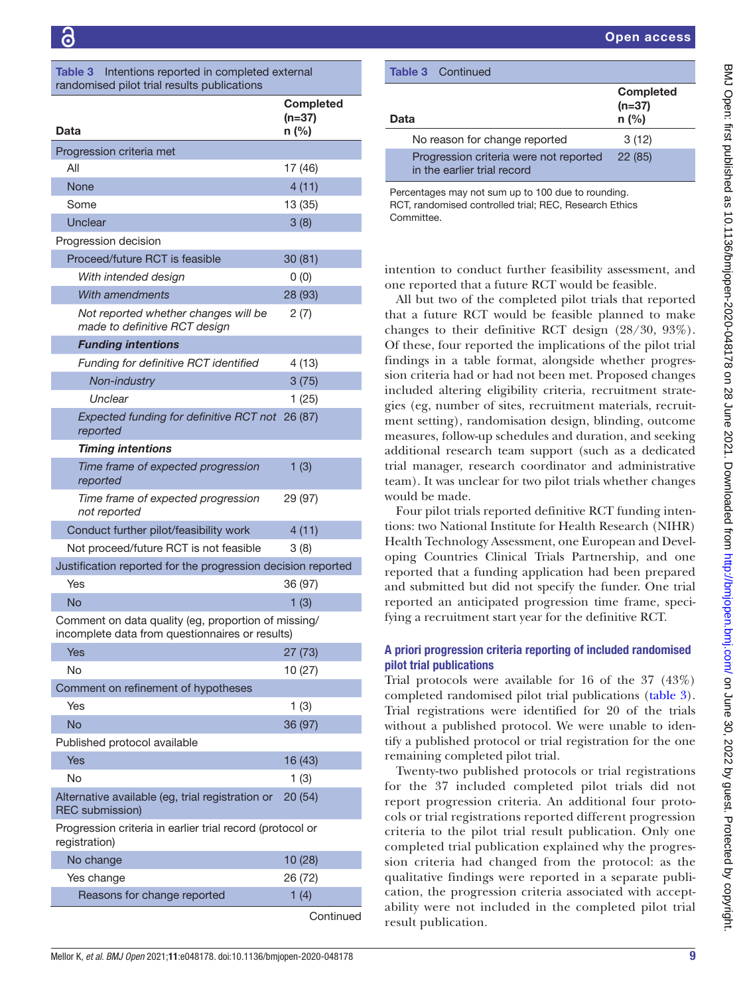<span id="page-8-0"></span>

| Intentions reported in completed external<br><b>Table 3</b><br>randomised pilot trial results publications |                                       |  |  |
|------------------------------------------------------------------------------------------------------------|---------------------------------------|--|--|
| Data                                                                                                       | <b>Completed</b><br>$(n=37)$<br>n (%) |  |  |
| Progression criteria met                                                                                   |                                       |  |  |
| All                                                                                                        | 17 (46)                               |  |  |
| <b>None</b>                                                                                                | 4(11)                                 |  |  |
| Some                                                                                                       | 13 (35)                               |  |  |
| Unclear                                                                                                    | 3(8)                                  |  |  |
| Progression decision                                                                                       |                                       |  |  |
| Proceed/future RCT is feasible                                                                             | 30(81)                                |  |  |
| With intended design                                                                                       | 0(0)                                  |  |  |
| With amendments                                                                                            | 28 (93)                               |  |  |
| Not reported whether changes will be<br>made to definitive RCT design                                      | 2(7)                                  |  |  |
| <b>Funding intentions</b>                                                                                  |                                       |  |  |
| Funding for definitive RCT identified                                                                      | 4 (13)                                |  |  |
| Non-industry                                                                                               | 3(75)                                 |  |  |
| Unclear                                                                                                    | 1(25)                                 |  |  |
| Expected funding for definitive RCT not 26 (87)<br>reported                                                |                                       |  |  |
| <b>Timing intentions</b>                                                                                   |                                       |  |  |
| Time frame of expected progression<br>reported                                                             | 1(3)                                  |  |  |
| Time frame of expected progression<br>not reported                                                         | 29 (97)                               |  |  |
| Conduct further pilot/feasibility work                                                                     | 4(11)                                 |  |  |
| Not proceed/future RCT is not feasible                                                                     | 3(8)                                  |  |  |
| Justification reported for the progression decision reported                                               |                                       |  |  |
| Yes                                                                                                        | 36 (97)                               |  |  |
| No                                                                                                         | 1(3)                                  |  |  |
| Comment on data quality (eg, proportion of missing/<br>incomplete data from questionnaires or results)     |                                       |  |  |
| <b>Yes</b>                                                                                                 | 27(73)                                |  |  |
| No                                                                                                         | 10(27)                                |  |  |
| Comment on refinement of hypotheses                                                                        |                                       |  |  |
| Yes                                                                                                        | 1(3)                                  |  |  |
| <b>No</b>                                                                                                  | 36 (97)                               |  |  |
| Published protocol available                                                                               |                                       |  |  |
| Yes                                                                                                        | 16 (43)                               |  |  |
| No                                                                                                         | 1(3)                                  |  |  |
| Alternative available (eg, trial registration or<br><b>REC</b> submission)                                 | 20 (54)                               |  |  |
| Progression criteria in earlier trial record (protocol or<br>registration)                                 |                                       |  |  |
| No change                                                                                                  | 10 (28)                               |  |  |
| Yes change                                                                                                 | 26 (72)                               |  |  |
| Reasons for change reported                                                                                | 1(4)                                  |  |  |
|                                                                                                            |                                       |  |  |

| <b>Table 3</b> Continued                                                                                     |                                         |  |
|--------------------------------------------------------------------------------------------------------------|-----------------------------------------|--|
| Data                                                                                                         | <b>Completed</b><br>$(n=37)$<br>$n$ (%) |  |
| No reason for change reported                                                                                | 3(12)                                   |  |
| Progression criteria were not reported<br>in the earlier trial record                                        | 22(85)                                  |  |
| Percentages may not sum up to 100 due to rounding.<br>RCT, randomised controlled trial; REC, Research Ethics |                                         |  |

intention to conduct further feasibility assessment, and one reported that a future RCT would be feasible.

**Committee** 

All but two of the completed pilot trials that reported that a future RCT would be feasible planned to make changes to their definitive RCT design (28/30, 93%). Of these, four reported the implications of the pilot trial findings in a table format, alongside whether progression criteria had or had not been met. Proposed changes included altering eligibility criteria, recruitment strategies (eg, number of sites, recruitment materials, recruitment setting), randomisation design, blinding, outcome measures, follow-up schedules and duration, and seeking additional research team support (such as a dedicated trial manager, research coordinator and administrative team). It was unclear for two pilot trials whether changes would be made.

Four pilot trials reported definitive RCT funding intentions: two National Institute for Health Research (NIHR) Health Technology Assessment, one European and Developing Countries Clinical Trials Partnership, and one reported that a funding application had been prepared and submitted but did not specify the funder. One trial reported an anticipated progression time frame, specifying a recruitment start year for the definitive RCT.

## A priori progression criteria reporting of included randomised pilot trial publications

Trial protocols were available for 16 of the 37 (43%) completed randomised pilot trial publications ([table](#page-8-0) 3). Trial registrations were identified for 20 of the trials without a published protocol. We were unable to identify a published protocol or trial registration for the one remaining completed pilot trial.

Twenty-two published protocols or trial registrations for the 37 included completed pilot trials did not report progression criteria. An additional four protocols or trial registrations reported different progression criteria to the pilot trial result publication. Only one completed trial publication explained why the progression criteria had changed from the protocol: as the qualitative findings were reported in a separate publication, the progression criteria associated with acceptability were not included in the completed pilot trial result publication.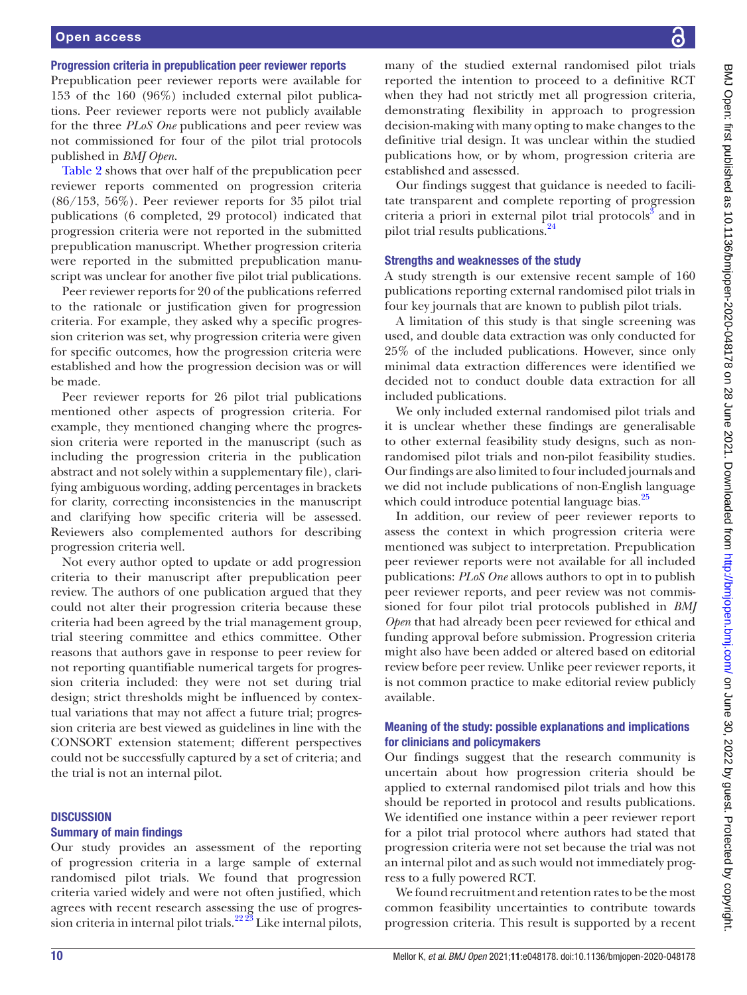## Progression criteria in prepublication peer reviewer reports

Prepublication peer reviewer reports were available for 153 of the 160 (96%) included external pilot publications. Peer reviewer reports were not publicly available for the three *PLoS One* publications and peer review was not commissioned for four of the pilot trial protocols published in *BMJ Open*.

[Table](#page-6-0) 2 shows that over half of the prepublication peer reviewer reports commented on progression criteria (86/153, 56%). Peer reviewer reports for 35 pilot trial publications (6 completed, 29 protocol) indicated that progression criteria were not reported in the submitted prepublication manuscript. Whether progression criteria were reported in the submitted prepublication manuscript was unclear for another five pilot trial publications.

Peer reviewer reports for 20 of the publications referred to the rationale or justification given for progression criteria. For example, they asked why a specific progression criterion was set, why progression criteria were given for specific outcomes, how the progression criteria were established and how the progression decision was or will be made.

Peer reviewer reports for 26 pilot trial publications mentioned other aspects of progression criteria. For example, they mentioned changing where the progression criteria were reported in the manuscript (such as including the progression criteria in the publication abstract and not solely within a supplementary file), clarifying ambiguous wording, adding percentages in brackets for clarity, correcting inconsistencies in the manuscript and clarifying how specific criteria will be assessed. Reviewers also complemented authors for describing progression criteria well.

Not every author opted to update or add progression criteria to their manuscript after prepublication peer review. The authors of one publication argued that they could not alter their progression criteria because these criteria had been agreed by the trial management group, trial steering committee and ethics committee. Other reasons that authors gave in response to peer review for not reporting quantifiable numerical targets for progression criteria included: they were not set during trial design; strict thresholds might be influenced by contextual variations that may not affect a future trial; progression criteria are best viewed as guidelines in line with the CONSORT extension statement; different perspectives could not be successfully captured by a set of criteria; and the trial is not an internal pilot.

## **DISCUSSION**

## Summary of main findings

Our study provides an assessment of the reporting of progression criteria in a large sample of external randomised pilot trials. We found that progression criteria varied widely and were not often justified, which agrees with recent research assessing the use of progression criteria in internal pilot trials.<sup>22  $\frac{2}{3}$ </sup> Like internal pilots,

many of the studied external randomised pilot trials reported the intention to proceed to a definitive RCT when they had not strictly met all progression criteria, demonstrating flexibility in approach to progression decision-making with many opting to make changes to the definitive trial design. It was unclear within the studied publications how, or by whom, progression criteria are established and assessed.

Our findings suggest that guidance is needed to facilitate transparent and complete reporting of progression criteria a priori in external pilot trial protocols<sup>3</sup> and in pilot trial results publications.<sup>24</sup>

#### Strengths and weaknesses of the study

A study strength is our extensive recent sample of 160 publications reporting external randomised pilot trials in four key journals that are known to publish pilot trials.

A limitation of this study is that single screening was used, and double data extraction was only conducted for 25% of the included publications. However, since only minimal data extraction differences were identified we decided not to conduct double data extraction for all included publications.

We only included external randomised pilot trials and it is unclear whether these findings are generalisable to other external feasibility study designs, such as nonrandomised pilot trials and non-pilot feasibility studies. Our findings are also limited to four included journals and we did not include publications of non-English language which could introduce potential language bias.<sup>25</sup>

In addition, our review of peer reviewer reports to assess the context in which progression criteria were mentioned was subject to interpretation. Prepublication peer reviewer reports were not available for all included publications: *PLoS One* allows authors to opt in to publish peer reviewer reports, and peer review was not commissioned for four pilot trial protocols published in *BMJ Open* that had already been peer reviewed for ethical and funding approval before submission. Progression criteria might also have been added or altered based on editorial review before peer review. Unlike peer reviewer reports, it is not common practice to make editorial review publicly available.

## Meaning of the study: possible explanations and implications for clinicians and policymakers

Our findings suggest that the research community is uncertain about how progression criteria should be applied to external randomised pilot trials and how this should be reported in protocol and results publications. We identified one instance within a peer reviewer report for a pilot trial protocol where authors had stated that progression criteria were not set because the trial was not an internal pilot and as such would not immediately progress to a fully powered RCT.

We found recruitment and retention rates to be the most common feasibility uncertainties to contribute towards progression criteria. This result is supported by a recent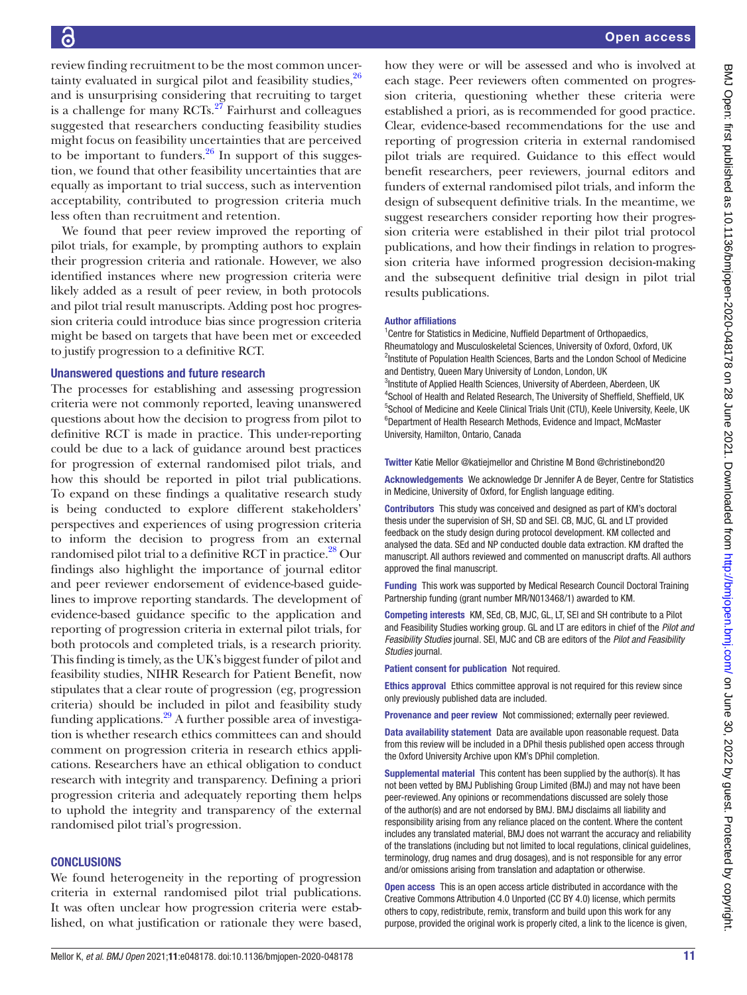review finding recruitment to be the most common uncertainty evaluated in surgical pilot and feasibility studies,  $26$ and is unsurprising considering that recruiting to target is a challenge for many  $\text{RCTs}$ .<sup>27</sup> Fairhurst and colleagues suggested that researchers conducting feasibility studies might focus on feasibility uncertainties that are perceived to be important to funders. $26$  In support of this suggestion, we found that other feasibility uncertainties that are equally as important to trial success, such as intervention acceptability, contributed to progression criteria much less often than recruitment and retention.

We found that peer review improved the reporting of pilot trials, for example, by prompting authors to explain their progression criteria and rationale. However, we also identified instances where new progression criteria were likely added as a result of peer review, in both protocols and pilot trial result manuscripts. Adding post hoc progression criteria could introduce bias since progression criteria might be based on targets that have been met or exceeded to justify progression to a definitive RCT.

#### Unanswered questions and future research

The processes for establishing and assessing progression criteria were not commonly reported, leaving unanswered questions about how the decision to progress from pilot to definitive RCT is made in practice. This under-reporting could be due to a lack of guidance around best practices for progression of external randomised pilot trials, and how this should be reported in pilot trial publications. To expand on these findings a qualitative research study is being conducted to explore different stakeholders' perspectives and experiences of using progression criteria to inform the decision to progress from an external randomised pilot trial to a definitive RCT in practice.<sup>[28](#page-11-16)</sup> Our findings also highlight the importance of journal editor and peer reviewer endorsement of evidence-based guidelines to improve reporting standards. The development of evidence-based guidance specific to the application and reporting of progression criteria in external pilot trials, for both protocols and completed trials, is a research priority. This finding is timely, as the UK's biggest funder of pilot and feasibility studies, NIHR Research for Patient Benefit, now stipulates that a clear route of progression (eg, progression criteria) should be included in pilot and feasibility study funding applications. $^{29}$  A further possible area of investigation is whether research ethics committees can and should comment on progression criteria in research ethics applications. Researchers have an ethical obligation to conduct research with integrity and transparency. Defining a priori progression criteria and adequately reporting them helps to uphold the integrity and transparency of the external randomised pilot trial's progression.

#### **CONCLUSIONS**

We found heterogeneity in the reporting of progression criteria in external randomised pilot trial publications. It was often unclear how progression criteria were established, on what justification or rationale they were based, how they were or will be assessed and who is involved at each stage. Peer reviewers often commented on progression criteria, questioning whether these criteria were established a priori, as is recommended for good practice. Clear, evidence-based recommendations for the use and reporting of progression criteria in external randomised pilot trials are required. Guidance to this effect would benefit researchers, peer reviewers, journal editors and funders of external randomised pilot trials, and inform the design of subsequent definitive trials. In the meantime, we suggest researchers consider reporting how their progression criteria were established in their pilot trial protocol publications, and how their findings in relation to progression criteria have informed progression decision-making and the subsequent definitive trial design in pilot trial results publications.

#### Author affiliations

<sup>1</sup> Centre for Statistics in Medicine, Nuffield Department of Orthopaedics, Rheumatology and Musculoskeletal Sciences, University of Oxford, Oxford, UK <sup>2</sup>Institute of Population Health Sciences, Barts and the London School of Medicine and Dentistry, Queen Mary University of London, London, UK <sup>3</sup>Institute of Applied Health Sciences, University of Aberdeen, Aberdeen, UK <sup>4</sup>School of Health and Related Research, The University of Sheffield, Sheffield, UK <sup>5</sup>School of Medicine and Keele Clinical Trials Unit (CTU), Keele University, Keele, UK 6 Department of Health Research Methods, Evidence and Impact, McMaster University, Hamilton, Ontario, Canada

Twitter Katie Mellor [@katiejmellor](https://twitter.com/katiejmellor) and Christine M Bond [@christinebond20](https://twitter.com/christinebond20)

Acknowledgements We acknowledge Dr Jennifer A de Beyer, Centre for Statistics in Medicine, University of Oxford, for English language editing.

Contributors This study was conceived and designed as part of KM's doctoral thesis under the supervision of SH, SD and SEl. CB, MJC, GL and LT provided feedback on the study design during protocol development. KM collected and analysed the data. SEd and NP conducted double data extraction. KM drafted the manuscript. All authors reviewed and commented on manuscript drafts. All authors approved the final manuscript.

Funding This work was supported by Medical Research Council Doctoral Training Partnership funding (grant number MR/N013468/1) awarded to KM.

Competing interests KM, SEd, CB, MJC, GL, LT, SEl and SH contribute to a Pilot and Feasibility Studies working group. GL and LT are editors in chief of the *Pilot and Feasibility Studies* journal. SEl, MJC and CB are editors of the *Pilot and Feasibility Studies* journal.

Patient consent for publication Not required.

Ethics approval Ethics committee approval is not required for this review since only previously published data are included.

Provenance and peer review Not commissioned; externally peer reviewed.

Data availability statement Data are available upon reasonable request. Data from this review will be included in a DPhil thesis published open access through the Oxford University Archive upon KM's DPhil completion.

Supplemental material This content has been supplied by the author(s). It has not been vetted by BMJ Publishing Group Limited (BMJ) and may not have been peer-reviewed. Any opinions or recommendations discussed are solely those of the author(s) and are not endorsed by BMJ. BMJ disclaims all liability and responsibility arising from any reliance placed on the content. Where the content includes any translated material, BMJ does not warrant the accuracy and reliability of the translations (including but not limited to local regulations, clinical guidelines, terminology, drug names and drug dosages), and is not responsible for any error and/or omissions arising from translation and adaptation or otherwise.

Open access This is an open access article distributed in accordance with the Creative Commons Attribution 4.0 Unported (CC BY 4.0) license, which permits others to copy, redistribute, remix, transform and build upon this work for any purpose, provided the original work is properly cited, a link to the licence is given,